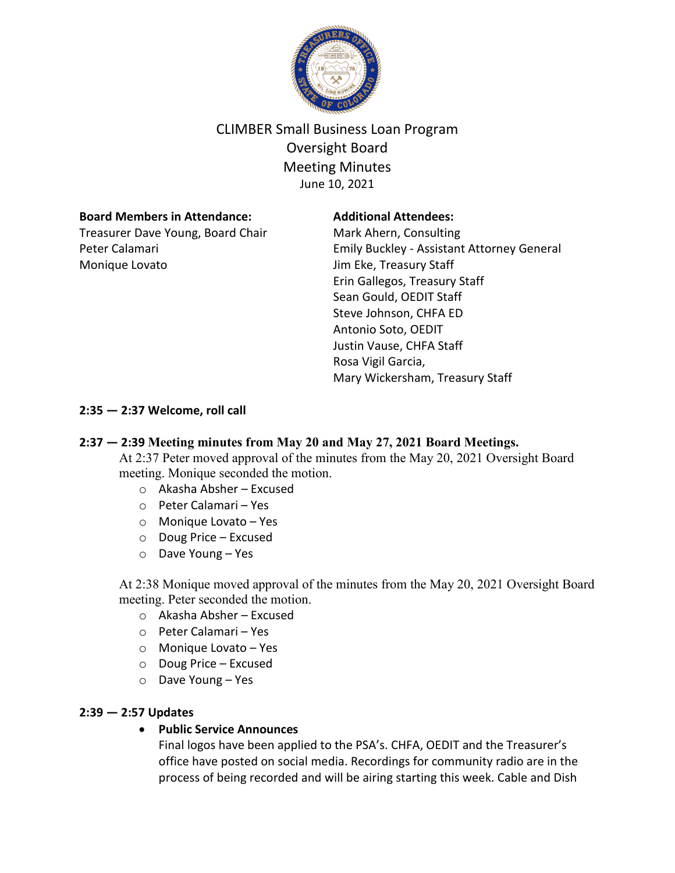

# CLIMBER Small Business Loan Program Oversight Board Meeting Minutes June 10, 2021

# **Board Members in Attendance:**

Treasurer Dave Young, Board Chair Peter Calamari Monique Lovato

## **Additional Attendees:**

Mark Ahern, Consulting Emily Buckley - Assistant Attorney General Jim Eke, Treasury Staff Erin Gallegos, Treasury Staff Sean Gould, OEDIT Staff Steve Johnson, CHFA ED Antonio Soto, OEDIT Justin Vause, CHFA Staff Rosa Vigil Garcia, Mary Wickersham, Treasury Staff

# **2:35 — 2:37 Welcome, roll call**

# **2:37 — 2:39 Meeting minutes from May 20 and May 27, 2021 Board Meetings.**

At 2:37 Peter moved approval of the minutes from the May 20, 2021 Oversight Board meeting. Monique seconded the motion.

- o Akasha Absher Excused
- o Peter Calamari Yes
- o Monique Lovato Yes
- o Doug Price Excused
- o Dave Young Yes

At 2:38 Monique moved approval of the minutes from the May 20, 2021 Oversight Board meeting. Peter seconded the motion.

- o Akasha Absher Excused
- o Peter Calamari Yes
- o Monique Lovato Yes
- o Doug Price Excused
- o Dave Young Yes

# **2:39 — 2:57 Updates**

#### • **Public Service Announces**

Final logos have been applied to the PSA's. CHFA, OEDIT and the Treasurer's office have posted on social media. Recordings for community radio are in the process of being recorded and will be airing starting this week. Cable and Dish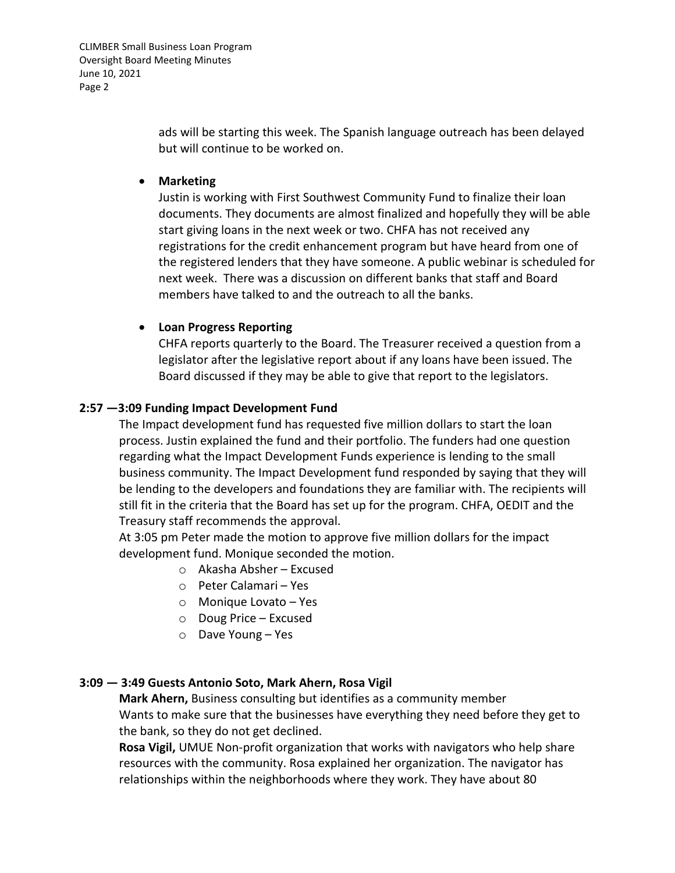CLIMBER Small Business Loan Program Oversight Board Meeting Minutes June 10, 2021 Page 2

> ads will be starting this week. The Spanish language outreach has been delayed but will continue to be worked on.

#### • **Marketing**

Justin is working with First Southwest Community Fund to finalize their loan documents. They documents are almost finalized and hopefully they will be able start giving loans in the next week or two. CHFA has not received any registrations for the credit enhancement program but have heard from one of the registered lenders that they have someone. A public webinar is scheduled for next week. There was a discussion on different banks that staff and Board members have talked to and the outreach to all the banks.

# • **Loan Progress Reporting**

CHFA reports quarterly to the Board. The Treasurer received a question from a legislator after the legislative report about if any loans have been issued. The Board discussed if they may be able to give that report to the legislators.

# **2:57 —3:09 Funding Impact Development Fund**

The Impact development fund has requested five million dollars to start the loan process. Justin explained the fund and their portfolio. The funders had one question regarding what the Impact Development Funds experience is lending to the small business community. The Impact Development fund responded by saying that they will be lending to the developers and foundations they are familiar with. The recipients will still fit in the criteria that the Board has set up for the program. CHFA, OEDIT and the Treasury staff recommends the approval.

At 3:05 pm Peter made the motion to approve five million dollars for the impact development fund. Monique seconded the motion.

- o Akasha Absher Excused
- o Peter Calamari Yes
- o Monique Lovato Yes
- o Doug Price Excused
- o Dave Young Yes

#### **3:09 — 3:49 Guests Antonio Soto, Mark Ahern, Rosa Vigil**

**Mark Ahern,** Business consulting but identifies as a community member Wants to make sure that the businesses have everything they need before they get to the bank, so they do not get declined.

**Rosa Vigil,** UMUE Non-profit organization that works with navigators who help share resources with the community. Rosa explained her organization. The navigator has relationships within the neighborhoods where they work. They have about 80